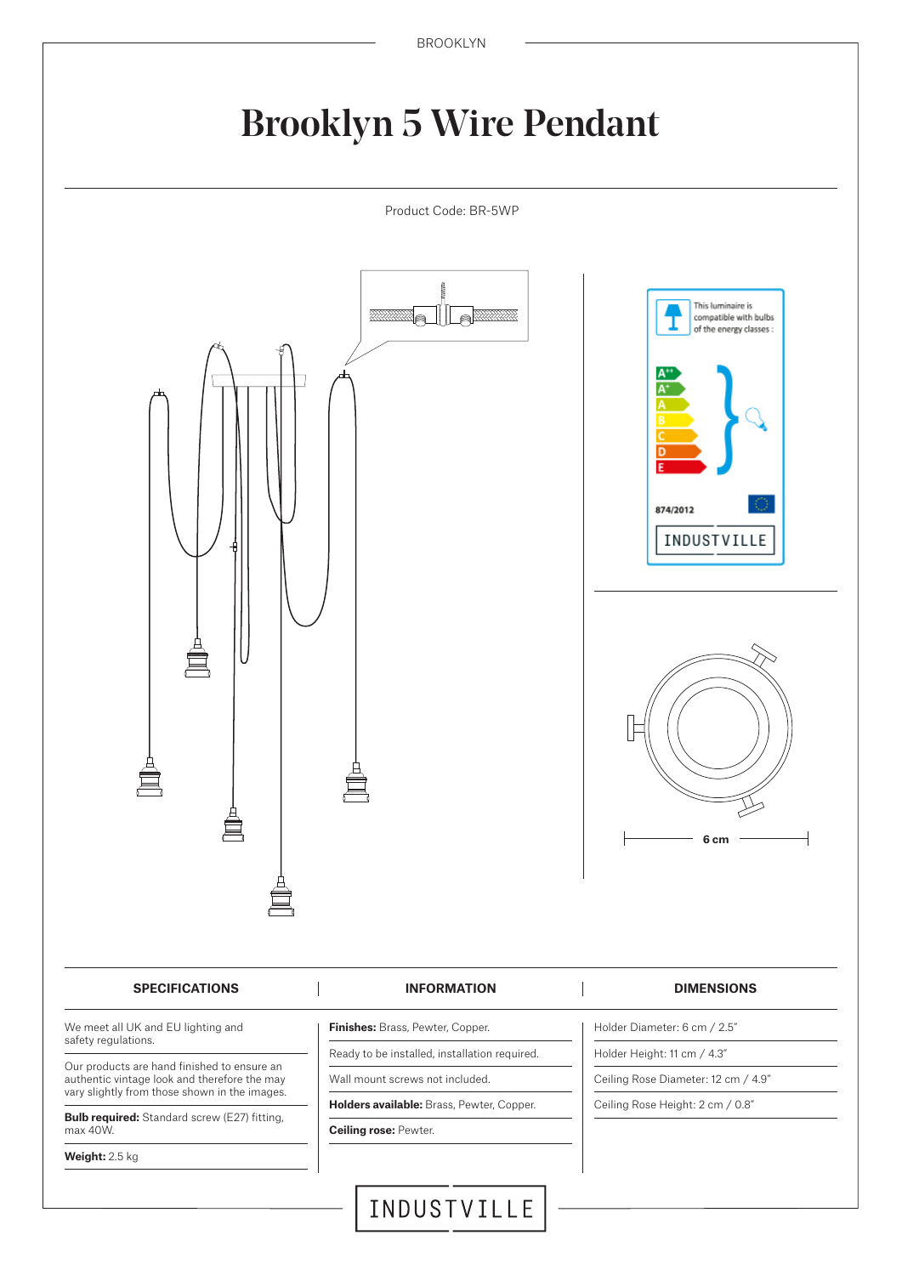## Brooklyn 5 Wire Pendant